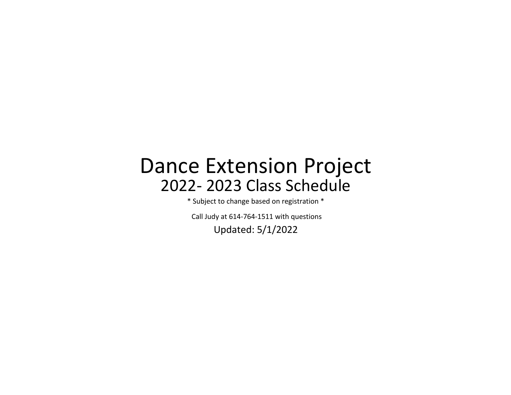## 2022- 2023 Class Schedule Dance Extension Project

\* Subject to change based on registration \*

Updated: 5/1/2022 Call Judy at 614-764-1511 with questions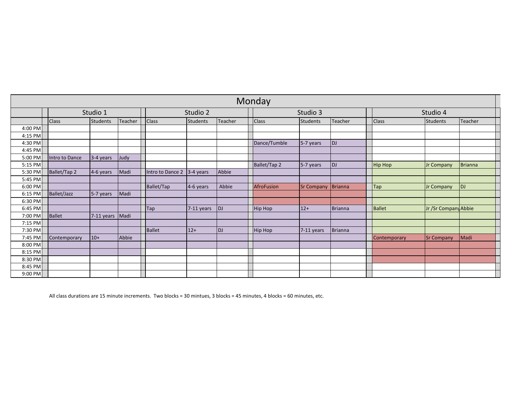|           | Monday         |             |         |                                            |             |           |                |                   |                |               |                      |                |  |  |
|-----------|----------------|-------------|---------|--------------------------------------------|-------------|-----------|----------------|-------------------|----------------|---------------|----------------------|----------------|--|--|
|           |                | Studio 1    |         |                                            | Studio 2    |           |                | Studio 3          |                | Studio 4      |                      |                |  |  |
|           | <b>Class</b>   | Students    | Teacher | <b>Class</b><br><b>Students</b><br>Teacher |             |           | <b>Class</b>   | <b>Students</b>   | Teacher        | Class         | <b>Students</b>      | Teacher        |  |  |
| 4:00 PM   |                |             |         |                                            |             |           |                |                   |                |               |                      |                |  |  |
| 4:15 PM   |                |             |         |                                            |             |           |                |                   |                |               |                      |                |  |  |
| 4:30 PM   |                |             |         |                                            |             |           | Dance/Tumble   | 5-7 years         | <b>DJ</b>      |               |                      |                |  |  |
| 4:45 PM   |                |             |         |                                            |             |           |                |                   |                |               |                      |                |  |  |
| 5:00 PM   | Intro to Dance | 3-4 years   | Judy    |                                            |             |           |                |                   |                |               |                      |                |  |  |
| 5:15 PM   |                |             |         |                                            |             |           | Ballet/Tap 2   | 5-7 years         | <b>DJ</b>      | Hip Hop       | Jr Company           | <b>Brianna</b> |  |  |
| 5:30 PM   | Ballet/Tap 2   | $4-6$ years | Madi    | Intro to Dance 2                           | $3-4$ years | Abbie     |                |                   |                |               |                      |                |  |  |
| 5:45 PM   |                |             |         |                                            |             |           |                |                   |                |               |                      |                |  |  |
| 6:00 PM   |                |             |         | Ballet/Tap                                 | $4-6$ years | Abbie     | AfroFusion     | <b>Sr Company</b> | Brianna        | <b>Tap</b>    | Jr Company           | <b>DJ</b>      |  |  |
| 6:15 PM   | Ballet/Jazz    | 5-7 years   | Madi    |                                            |             |           |                |                   |                |               |                      |                |  |  |
| 6:30 PM   |                |             |         |                                            |             |           |                |                   |                |               |                      |                |  |  |
| 6:45 PM   |                |             |         | Tap                                        | 7-11 years  | DJ        | <b>Hip Hop</b> | $12+$             | <b>Brianna</b> | <b>Ballet</b> | Jr /Sr Company Abbie |                |  |  |
| 7:00 PM   | Ballet         | 7-11 years  | Madi    |                                            |             |           |                |                   |                |               |                      |                |  |  |
| 7:15 PM   |                |             |         |                                            |             |           |                |                   |                |               |                      |                |  |  |
| 7:30 PM   |                |             |         | Ballet                                     | $12+$       | <b>DJ</b> | Hip Hop        | 7-11 years        | <b>Brianna</b> |               |                      |                |  |  |
| 7:45 PM   | Contemporary   | $10+$       | Abbie   |                                            |             |           |                |                   |                | Contemporary  | <b>Sr Company</b>    | Madi           |  |  |
| 8:00 PM   |                |             |         |                                            |             |           |                |                   |                |               |                      |                |  |  |
| 8:15 PM   |                |             |         |                                            |             |           |                |                   |                |               |                      |                |  |  |
| 8:30 PM   |                |             |         |                                            |             |           |                |                   |                |               |                      |                |  |  |
| 8:45 PM   |                |             |         |                                            |             |           |                |                   |                |               |                      |                |  |  |
| $9:00$ PM |                |             |         |                                            |             |           |                |                   |                |               |                      |                |  |  |

All class durations are 15 minute increments. Two blocks = 30 mintues, 3 blocks = 45 minutes, 4 blocks = 60 minutes, etc.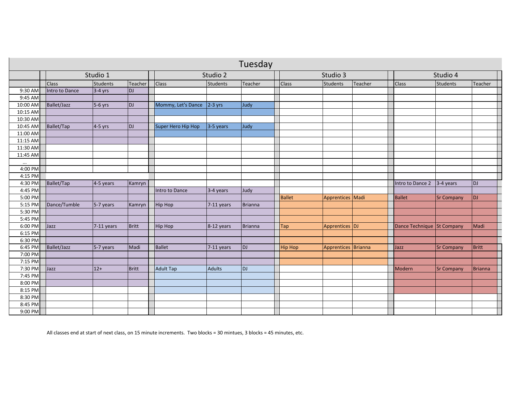|            | Tuesday        |                 |              |                    |                 |           |               |                |                     |         |                            |                   |              |  |
|------------|----------------|-----------------|--------------|--------------------|-----------------|-----------|---------------|----------------|---------------------|---------|----------------------------|-------------------|--------------|--|
|            |                | Studio 1        |              |                    | Studio 2        |           |               |                | Studio 3            |         |                            | Studio 4          |              |  |
|            | <b>Class</b>   | <b>Students</b> | Teacher      | <b>Class</b>       | <b>Students</b> | Teacher   | <b>Class</b>  |                | Students            | Teacher | <b>Class</b>               | Students          | Teacher      |  |
| 9:30 AM    | Intro to Dance | $3-4$ yrs       | <b>DJ</b>    |                    |                 |           |               |                |                     |         |                            |                   |              |  |
| $9:45$ AM  |                |                 |              |                    |                 |           |               |                |                     |         |                            |                   |              |  |
| 10:00 AM   | Ballet/Jazz    | 5-6 yrs         | DJ           | Mommy, Let's Dance | $2-3$ yrs       | Judy      |               |                |                     |         |                            |                   |              |  |
| $10:15$ AM |                |                 |              |                    |                 |           |               |                |                     |         |                            |                   |              |  |
| 10:30 AM   |                |                 |              |                    |                 |           |               |                |                     |         |                            |                   |              |  |
| 10:45 AM   | Ballet/Tap     | 4-5 yrs         | <b>DJ</b>    | Super Hero Hip Hop | $3-5$ years     | Judy      |               |                |                     |         |                            |                   |              |  |
| 11:00 AM   |                |                 |              |                    |                 |           |               |                |                     |         |                            |                   |              |  |
| 11:15 AM   |                |                 |              |                    |                 |           |               |                |                     |         |                            |                   |              |  |
| 11:30 AM   |                |                 |              |                    |                 |           |               |                |                     |         |                            |                   |              |  |
| 11:45 AM   |                |                 |              |                    |                 |           |               |                |                     |         |                            |                   |              |  |
| $\cdots$   |                |                 |              |                    |                 |           |               |                |                     |         |                            |                   |              |  |
| 4:00 PM    |                |                 |              |                    |                 |           |               |                |                     |         |                            |                   |              |  |
| 4:15 PM    |                |                 |              |                    |                 |           |               |                |                     |         |                            |                   |              |  |
| 4:30 PM    | Ballet/Tap     | 4-5 years       | Kamryn       |                    |                 |           |               |                |                     |         | Intro to Dance 2           | $3-4$ years       | <b>DJ</b>    |  |
| 4:45 PM    |                |                 |              | Intro to Dance     | 3-4 years       | Judy      |               |                |                     |         |                            |                   |              |  |
| 5:00 PM    |                |                 |              |                    |                 |           | <b>Ballet</b> |                | Apprentices Madi    |         | Ballet                     | <b>Sr Company</b> | <b>DJ</b>    |  |
| 5:15 PM    | Dance/Tumble   | 5-7 years       | Kamryn       | <b>Hip Hop</b>     | 7-11 years      | Brianna   |               |                |                     |         |                            |                   |              |  |
| 5:30 PM    |                |                 |              |                    |                 |           |               |                |                     |         |                            |                   |              |  |
| 5:45 PM    |                |                 |              |                    |                 |           |               |                |                     |         |                            |                   |              |  |
| 6:00 PM    | Jazz           | 7-11 years      | <b>Britt</b> | <b>Hip Hop</b>     | 8-12 years      | Brianna   | <b>Tap</b>    |                | Apprentices  DJ     |         | Dance Technique St Company |                   | Madi         |  |
| 6:15 PM    |                |                 |              |                    |                 |           |               |                |                     |         |                            |                   |              |  |
| 6:30 PM    |                |                 |              |                    |                 |           |               |                |                     |         |                            |                   |              |  |
| 6:45 PM    | Ballet/Jazz    | 5-7 years       | Madi         | <b>Ballet</b>      | 7-11 years      | DJ        |               | <b>Hip Hop</b> | Apprentices Brianna |         | Jazz                       | <b>Sr Company</b> | <b>Britt</b> |  |
| 7:00 PM    |                |                 |              |                    |                 |           |               |                |                     |         |                            |                   |              |  |
| $7:15$ PM  |                |                 |              |                    |                 |           |               |                |                     |         |                            |                   |              |  |
| 7:30 PM    | Jazz           | $12+$           | <b>Britt</b> | <b>Adult Tap</b>   | <b>Adults</b>   | <b>DJ</b> |               |                |                     |         | Modern                     | <b>Sr Company</b> | Brianna      |  |
| 7:45 PM    |                |                 |              |                    |                 |           |               |                |                     |         |                            |                   |              |  |
| 8:00 PM    |                |                 |              |                    |                 |           |               |                |                     |         |                            |                   |              |  |
| 8:15 PM    |                |                 |              |                    |                 |           |               |                |                     |         |                            |                   |              |  |
| 8:30 PM    |                |                 |              |                    |                 |           |               |                |                     |         |                            |                   |              |  |
| 8:45 PM    |                |                 |              |                    |                 |           |               |                |                     |         |                            |                   |              |  |
| 9:00 PM    |                |                 |              |                    |                 |           |               |                |                     |         |                            |                   |              |  |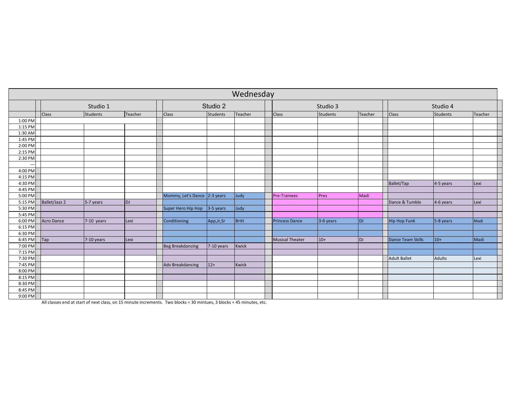|         | Wednesday         |                 |           |                              |             |       |       |                        |           |                |                   |               |      |  |
|---------|-------------------|-----------------|-----------|------------------------------|-------------|-------|-------|------------------------|-----------|----------------|-------------------|---------------|------|--|
|         |                   | Studio 1        |           |                              | Studio 2    |       |       |                        | Studio 3  |                | Studio 4          |               |      |  |
|         | Class             | <b>Students</b> | Teacher   | Teacher<br>Class<br>Students |             |       | Class | <b>Students</b>        | Teacher   | Class          | Students          | Teacher       |      |  |
| 1:00 PM |                   |                 |           |                              |             |       |       |                        |           |                |                   |               |      |  |
| 1:15 PM |                   |                 |           |                              |             |       |       |                        |           |                |                   |               |      |  |
| 1:30 AM |                   |                 |           |                              |             |       |       |                        |           |                |                   |               |      |  |
| 1:45 PM |                   |                 |           |                              |             |       |       |                        |           |                |                   |               |      |  |
| 2:00 PM |                   |                 |           |                              |             |       |       |                        |           |                |                   |               |      |  |
| 2:15 PM |                   |                 |           |                              |             |       |       |                        |           |                |                   |               |      |  |
| 2:30 PM |                   |                 |           |                              |             |       |       |                        |           |                |                   |               |      |  |
| --      |                   |                 |           |                              |             |       |       |                        |           |                |                   |               |      |  |
| 4:00 PM |                   |                 |           |                              |             |       |       |                        |           |                |                   |               |      |  |
| 4:15 PM |                   |                 |           |                              |             |       |       |                        |           |                |                   |               |      |  |
| 4:30 PM |                   |                 |           |                              |             |       |       |                        |           |                | Ballet/Tap        | 4-5 years     | Lexi |  |
| 4:45 PM |                   |                 |           |                              |             |       |       |                        |           |                |                   |               |      |  |
| 5:00 PM |                   |                 |           | Mommy, Let's Dance 2-3 years |             | Judy  |       | <b>Pre-Trainees</b>    | Pres      | Madi           |                   |               |      |  |
| 5:15 PM | Ballet/Jazz 2     | 5-7 years       | <b>DJ</b> |                              |             |       |       |                        |           |                | Dance & Tumble    | 4-6 years     | Lexi |  |
| 5:30 PM |                   |                 |           | Super Hero Hip Hop           | 3-5 years   | Judy  |       |                        |           |                |                   |               |      |  |
| 5:45 PM |                   |                 |           |                              |             |       |       |                        |           |                |                   |               |      |  |
| 6:00 PM | <b>Acro Dance</b> | 7-10 years      | Lexi      | Conditioning                 | App, Jr, Sr | Britt |       | <b>Princess Dance</b>  | 3-6 years | <b>DJ</b>      | Hip Hop Funk      | 5-8 years     | Madi |  |
| 6:15 PM |                   |                 |           |                              |             |       |       |                        |           |                |                   |               |      |  |
| 6:30 PM |                   |                 |           |                              |             |       |       |                        |           |                |                   |               |      |  |
| 6:45 PM | Tap               | 7-10 years      | Lexi      |                              |             |       |       | <b>Musical Theater</b> | $10+$     | $\overline{D}$ | Dance Team Skills | $10+$         | Madi |  |
| 7:00 PM |                   |                 |           | <b>Beg Breakdancing</b>      | 7-10 years  | Kwick |       |                        |           |                |                   |               |      |  |
| 7:15 PM |                   |                 |           |                              |             |       |       |                        |           |                |                   |               |      |  |
| 7:30 PM |                   |                 |           |                              |             |       |       |                        |           |                | Adult Ballet      | <b>Adults</b> | Lexi |  |
| 7:45 PM |                   |                 |           | <b>Adv Breakdancing</b>      | $12+$       | Kwick |       |                        |           |                |                   |               |      |  |
| 8:00 PM |                   |                 |           |                              |             |       |       |                        |           |                |                   |               |      |  |
| 8:15 PM |                   |                 |           |                              |             |       |       |                        |           |                |                   |               |      |  |
| 8:30 PM |                   |                 |           |                              |             |       |       |                        |           |                |                   |               |      |  |
| 8:45 PM |                   |                 |           |                              |             |       |       |                        |           |                |                   |               |      |  |
| 9:00 PM |                   |                 |           |                              |             |       |       |                        |           |                |                   |               |      |  |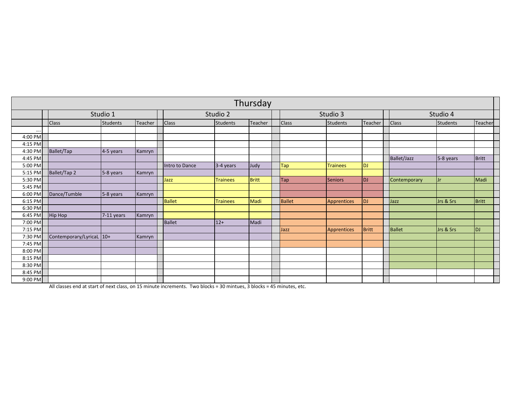|          | Thursday                 |             |         |                                     |                 |              |              |                              |         |              |           |              |  |  |
|----------|--------------------------|-------------|---------|-------------------------------------|-----------------|--------------|--------------|------------------------------|---------|--------------|-----------|--------------|--|--|
|          |                          | Studio 1    |         |                                     | Studio 2        |              |              | Studio 3                     |         |              | Studio 4  |              |  |  |
|          | <b>Class</b>             | Students    | Teacher | <b>Class</b><br>Students<br>Teacher |                 |              | <b>Class</b> | Students                     | Teacher | <b>Class</b> | Students  | Teacher      |  |  |
| $\cdots$ |                          |             |         |                                     |                 |              |              |                              |         |              |           |              |  |  |
| 4:00 PM  |                          |             |         |                                     |                 |              |              |                              |         |              |           |              |  |  |
| 4:15 PM  |                          |             |         |                                     |                 |              |              |                              |         |              |           |              |  |  |
| 4:30 PM  | Ballet/Tap               | $4-5$ years | Kamryn  |                                     |                 |              |              |                              |         |              |           |              |  |  |
| 4:45 PM  |                          |             |         |                                     |                 |              |              |                              |         | Ballet/Jazz  | 5-8 years | <b>Britt</b> |  |  |
| 5:00 PM  |                          |             |         | Intro to Dance                      | 3-4 years       | Judy         | Tap          | <b>Trainees</b><br><b>DJ</b> |         |              |           |              |  |  |
| 5:15 PM  | Ballet/Tap 2             | $5-8$ years | Kamryn  |                                     |                 |              |              |                              |         |              |           |              |  |  |
| 5:30 PM  |                          |             |         | Jazz                                | <b>Trainees</b> | <b>Britt</b> | <b>Tap</b>   | Seniors<br> D                |         | Contemporary | IJr       | Madi         |  |  |
| 5:45 PM  |                          |             |         |                                     |                 |              |              |                              |         |              |           |              |  |  |
| 6:00 PM  | Dance/Tumble             | 5-8 years   | Kamryn  |                                     |                 |              |              |                              |         |              |           |              |  |  |
| 6:15 PM  |                          |             |         | Ballet                              | <b>Trainees</b> | Madi         | Ballet       | D <br>Apprentices            |         | Jazz         | Jrs & Srs | Britt        |  |  |
| 6:30 PM  |                          |             |         |                                     |                 |              |              |                              |         |              |           |              |  |  |
| 6:45 PM  | Hip Hop                  | 7-11 years  | Kamryn  |                                     |                 |              |              |                              |         |              |           |              |  |  |
| 7:00 PM  |                          |             |         | Ballet                              | $12+$           | Madi         |              |                              |         |              |           |              |  |  |
| 7:15 PM  |                          |             |         |                                     |                 |              | Jazz         | Apprentices                  | Britt   | Ballet       | Jrs & Srs | <b>DJ</b>    |  |  |
| 7:30 PM  | Contemporary/LyricaL 10+ |             | Kamryn  |                                     |                 |              |              |                              |         |              |           |              |  |  |
| 7:45 PM  |                          |             |         |                                     |                 |              |              |                              |         |              |           |              |  |  |
| 8:00 PM  |                          |             |         |                                     |                 |              |              |                              |         |              |           |              |  |  |
| 8:15 PM  |                          |             |         |                                     |                 |              |              |                              |         |              |           |              |  |  |
| 8:30 PM  |                          |             |         |                                     |                 |              |              |                              |         |              |           |              |  |  |
| 8:45 PM  |                          |             |         |                                     |                 |              |              |                              |         |              |           |              |  |  |
| 9:00 PM  |                          |             |         |                                     |                 |              |              |                              |         |              |           |              |  |  |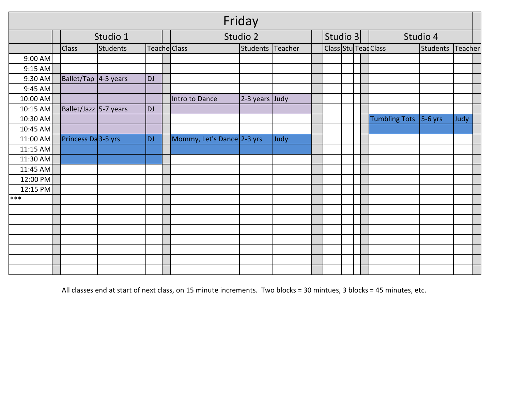|          | Friday |                       |                 |              |  |                            |                  |      |  |          |                      |  |                      |           |         |  |  |
|----------|--------|-----------------------|-----------------|--------------|--|----------------------------|------------------|------|--|----------|----------------------|--|----------------------|-----------|---------|--|--|
|          |        |                       | Studio 1        |              |  |                            | Studio 2         |      |  | Studio 3 |                      |  |                      | Studio 4  |         |  |  |
|          |        | <b>Class</b>          | <b>Students</b> | Teache Class |  |                            | Students Teacher |      |  |          | Class Stu Tead Class |  |                      | Students  | Teacher |  |  |
| 9:00 AM  |        |                       |                 |              |  |                            |                  |      |  |          |                      |  |                      |           |         |  |  |
| 9:15 AM  |        |                       |                 |              |  |                            |                  |      |  |          |                      |  |                      |           |         |  |  |
| 9:30 AM  |        | Ballet/Tap 4-5 years  |                 | <b>DJ</b>    |  |                            |                  |      |  |          |                      |  |                      |           |         |  |  |
| 9:45 AM  |        |                       |                 |              |  |                            |                  |      |  |          |                      |  |                      |           |         |  |  |
| 10:00 AM |        |                       |                 |              |  | Intro to Dance             | $2-3$ years Judy |      |  |          |                      |  |                      |           |         |  |  |
| 10:15 AM |        | Ballet/Jazz 5-7 years |                 | <b>DJ</b>    |  |                            |                  |      |  |          |                      |  |                      |           |         |  |  |
| 10:30 AM |        |                       |                 |              |  |                            |                  |      |  |          |                      |  | <b>Tumbling Tots</b> | $5-6$ yrs | Judy    |  |  |
| 10:45 AM |        |                       |                 |              |  |                            |                  |      |  |          |                      |  |                      |           |         |  |  |
| 11:00 AM |        | Princess Da 3-5 yrs   |                 | <b>DJ</b>    |  | Mommy, Let's Dance 2-3 yrs |                  | Judy |  |          |                      |  |                      |           |         |  |  |
| 11:15 AM |        |                       |                 |              |  |                            |                  |      |  |          |                      |  |                      |           |         |  |  |
| 11:30 AM |        |                       |                 |              |  |                            |                  |      |  |          |                      |  |                      |           |         |  |  |
| 11:45 AM |        |                       |                 |              |  |                            |                  |      |  |          |                      |  |                      |           |         |  |  |
| 12:00 PM |        |                       |                 |              |  |                            |                  |      |  |          |                      |  |                      |           |         |  |  |
| 12:15 PM |        |                       |                 |              |  |                            |                  |      |  |          |                      |  |                      |           |         |  |  |
| $***$    |        |                       |                 |              |  |                            |                  |      |  |          |                      |  |                      |           |         |  |  |
|          |        |                       |                 |              |  |                            |                  |      |  |          |                      |  |                      |           |         |  |  |
|          |        |                       |                 |              |  |                            |                  |      |  |          |                      |  |                      |           |         |  |  |
|          |        |                       |                 |              |  |                            |                  |      |  |          |                      |  |                      |           |         |  |  |
|          |        |                       |                 |              |  |                            |                  |      |  |          |                      |  |                      |           |         |  |  |
|          |        |                       |                 |              |  |                            |                  |      |  |          |                      |  |                      |           |         |  |  |
|          |        |                       |                 |              |  |                            |                  |      |  |          |                      |  |                      |           |         |  |  |
|          |        |                       |                 |              |  |                            |                  |      |  |          |                      |  |                      |           |         |  |  |